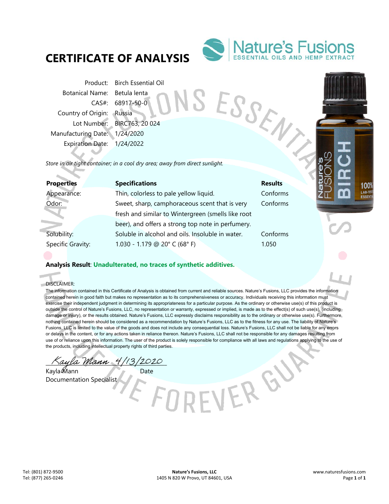# **CERTIFICATE OF ANALYSIS**



SESSENT

VERGY

Product: Birch Essential Oil Botanical Name: Betula lenta CAS#: 68917-50-0 Country of Origin: Russia Lot Number: BIRC763, 20 024 Manufacturing Date: 1/24/2020 Expiration Date: 1/24/2022

*Store in air tight container; in a cool dry area; away from direct sunlight.* 

| <b>Properties</b> | <b>Specifications</b>                              | <b>Results</b> |
|-------------------|----------------------------------------------------|----------------|
| Appearance:       | Thin, colorless to pale yellow liquid.             | Conforms       |
| Odor:             | Sweet, sharp, camphoraceous scent that is very     | Conforms       |
|                   | fresh and similar to Wintergreen (smells like root |                |
|                   | beer), and offers a strong top note in perfumery.  |                |
| Solubility:       | Soluble in alcohol and oils. Insoluble in water.   | Conforms       |
| Specific Gravity: | 1.030 - 1.179 @ 20° C (68° F)                      | 1.050          |
|                   |                                                    |                |

## **Analysis Result**: **Unadulterated, no traces of synthetic additives.**

DISCLAIMER:

d.

The information contained in this Certificate of Analysis is obtained from current and reliable sources. Nature's Fusions, LLC provides the information contained herein in good faith but makes no representation as to its comprehensiveness or accuracy. Individuals receiving this information must exercise their independent judgment in determining its appropriateness for a particular purpose. As the ordinary or otherwise use(s) of this product is outside the control of Nature's Fusions, LLC, no representation or warranty, expressed or implied, is made as to the effect(s) of such use(s), (including damage or injury), or the results obtained. Nature's Fusions, LLC expressly disclaims responsibility as to the ordinary or otherwise use(s). Furthermore, nothing contained herein should be considered as a recommendation by Nature's Fusions, LLC as to the fitness for any use. The liability of Nature's Fusions, LLC is limited to the value of the goods and does not include any consequential loss. Nature's Fusions, LLC shall not be liable for any errors or delays in the content, or for any actions taken in reliance thereon. Nature's Fusions, LLC shall not be responsible for any damages resulting from use of or reliance upon this information. The user of the product is solely responsible for compliance with all laws and regulations applying to the use of the products, including intellectual property rights of third parties.

\_\_\_\_\_\_\_\_\_\_\_\_\_\_\_\_\_\_\_\_\_\_\_\_\_\_\_\_\_\_\_\_\_\_\_\_\_\_\_\_\_\_\_\_\_\_

Kayla Mann Date Documentation Specialist

100 LAB-T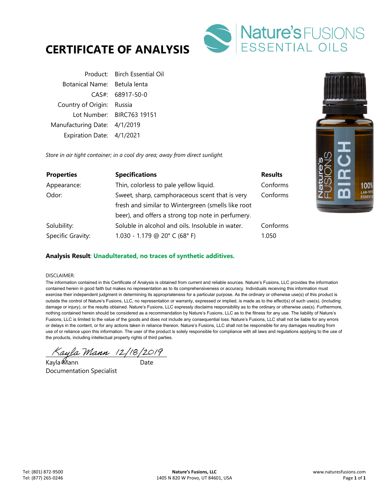



Product: Birch Essential Oil Botanical Name: Betula lenta CAS#: 68917-50-0 Country of Origin: Russia Lot Number: BIRC763 19151 Manufacturing Date: 4/1/2019 Expiration Date: 4/1/2021

*Store in air tight container; in a cool dry area; away from direct sunlight.* 

| <b>Properties</b> | <b>Specifications</b>                              | <b>Results</b> |
|-------------------|----------------------------------------------------|----------------|
| Appearance:       | Thin, colorless to pale yellow liquid.             | Conforms       |
| Odor:             | Sweet, sharp, camphoraceous scent that is very     | Conforms       |
|                   | fresh and similar to Wintergreen (smells like root |                |
|                   | beer), and offers a strong top note in perfumery.  |                |
| Solubility:       | Soluble in alcohol and oils. Insoluble in water.   | Conforms       |
| Specific Gravity: | 1.030 - 1.179 @ 20° C (68° F)                      | 1.050          |

### **Analysis Result**: **Unadulterated, no traces of synthetic additives.**

#### DISCLAIMER:

The information contained in this Certificate of Analysis is obtained from current and reliable sources. Nature's Fusions, LLC provides the information contained herein in good faith but makes no representation as to its comprehensiveness or accuracy. Individuals receiving this information must exercise their independent judgment in determining its appropriateness for a particular purpose. As the ordinary or otherwise use(s) of this product is outside the control of Nature's Fusions, LLC, no representation or warranty, expressed or implied, is made as to the effect(s) of such use(s), (including damage or injury), or the results obtained. Nature's Fusions, LLC expressly disclaims responsibility as to the ordinary or otherwise use(s). Furthermore, nothing contained herein should be considered as a recommendation by Nature's Fusions, LLC as to the fitness for any use. The liability of Nature's Fusions, LLC is limited to the value of the goods and does not include any consequential loss. Nature's Fusions, LLC shall not be liable for any errors or delays in the content, or for any actions taken in reliance thereon. Nature's Fusions, LLC shall not be responsible for any damages resulting from use of or reliance upon this information. The user of the product is solely responsible for compliance with all laws and regulations applying to the use of the products, including intellectual property rights of third parties.

 $\land$ ayla Mann (2/18/2019)

Kayla Mann Date Documentation Specialist

100